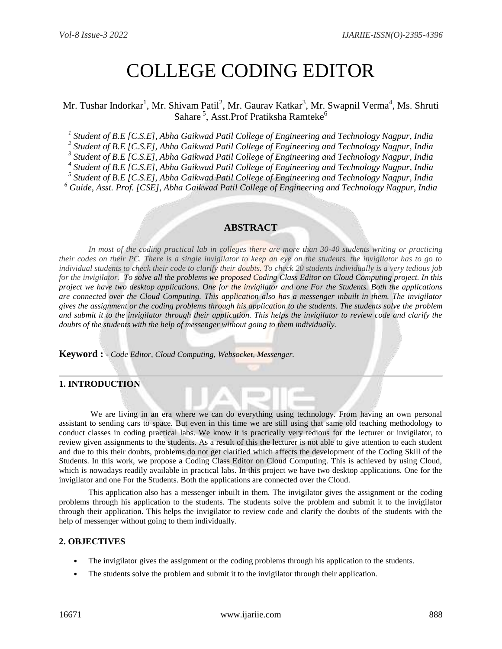# COLLEGE CODING EDITOR

# Mr. Tushar Indorkar<sup>1</sup>, Mr. Shivam Patil<sup>2</sup>, Mr. Gaurav Katkar<sup>3</sup>, Mr. Swapnil Verma<sup>4</sup>, Ms. Shruti Sahare<sup>5</sup>, Asst.Prof Pratiksha Ramteke<sup>6</sup>

*1 Student of B.E [C.S.E], Abha Gaikwad Patil College of Engineering and Technology Nagpur, India*

*2 Student of B.E [C.S.E], Abha Gaikwad Patil College of Engineering and Technology Nagpur, India*

*3 Student of B.E [C.S.E], Abha Gaikwad Patil College of Engineering and Technology Nagpur, India*

*4 Student of B.E [C.S.E], Abha Gaikwad Patil College of Engineering and Technology Nagpur, India*

*5 Student of B.E [C.S.E], Abha Gaikwad Patil College of Engineering and Technology Nagpur, India*

*<sup>6</sup> Guide, Asst. Prof. [CSE], Abha Gaikwad Patil College of Engineering and Technology Nagpur, India*

# **ABSTRACT**

In most of the coding practical lab in colleges there are more than 30-40 students writing or practicing *their codes on their PC. There is a single invigilator to keep an eye on the students. the invigilator has to go to individual students to check their code to clarify their doubts. To check 20 students individually is a very tedious job for the invigilator. To solve all the problems we proposed Coding Class Editor on Cloud Computing project. In this project we have two desktop applications. One for the invigilator and one For the Students. Both the applications are connected over the Cloud Computing. This application also has a messenger inbuilt in them. The invigilator gives the assignment or the coding problems through his application to the students. The students solve the problem and submit it to the invigilator through their application. This helps the invigilator to review code and clarify the doubts of the students with the help of messenger without going to them individually.* 

**Keyword : -** *Code Editor, Cloud Computing, Websocket, Messenger.*

#### **1. INTRODUCTION**

We are living in an era where we can do everything using technology. From having an own personal assistant to sending cars to space. But even in this time we are still using that same old teaching methodology to conduct classes in coding practical labs. We know it is practically very tedious for the lecturer or invigilator, to review given assignments to the students. As a result of this the lecturer is not able to give attention to each student and due to this their doubts, problems do not get clarified which affects the development of the Coding Skill of the Students. In this work, we propose a Coding Class Editor on Cloud Computing. This is achieved by using Cloud, which is nowadays readily available in practical labs. In this project we have two desktop applications. One for the invigilator and one For the Students. Both the applications are connected over the Cloud.

This application also has a messenger inbuilt in them. The invigilator gives the assignment or the coding problems through his application to the students. The students solve the problem and submit it to the invigilator through their application. This helps the invigilator to review code and clarify the doubts of the students with the help of messenger without going to them individually.

#### **2. OBJECTIVES**

- The invigilator gives the assignment or the coding problems through his application to the students.
- The students solve the problem and submit it to the invigilator through their application.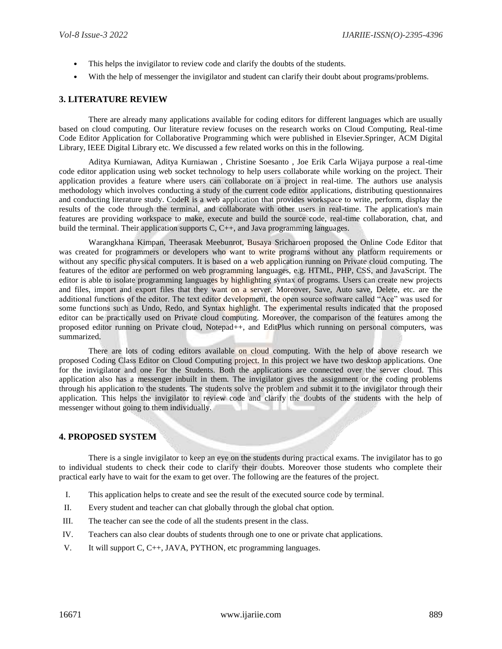- This helps the invigilator to review code and clarify the doubts of the students.
- With the help of messenger the invigilator and student can clarify their doubt about programs/problems.

#### **3. LITERATURE REVIEW**

There are already many applications available for coding editors for different languages which are usually based on cloud computing. Our literature review focuses on the research works on Cloud Computing, Real-time Code Editor Application for Collaborative Programming which were published in Elsevier.Springer, ACM Digital Library, IEEE Digital Library etc. We discussed a few related works on this in the following.

Aditya Kurniawan, Aditya Kurniawan , Christine Soesanto , Joe Erik Carla Wijaya purpose a real-time code editor application using web socket technology to help users collaborate while working on the project. Their application provides a feature where users can collaborate on a project in real-time. The authors use analysis methodology which involves conducting a study of the current code editor applications, distributing questionnaires and conducting literature study. CodeR is a web application that provides workspace to write, perform, display the results of the code through the terminal, and collaborate with other users in real-time. The application's main features are providing workspace to make, execute and build the source code, real-time collaboration, chat, and build the terminal. Their application supports C, C++, and Java programming languages.

Warangkhana Kimpan, Theerasak Meebunrot, Busaya Sricharoen proposed the Online Code Editor that was created for programmers or developers who want to write programs without any platform requirements or without any specific physical computers. It is based on a web application running on Private cloud computing. The features of the editor are performed on web programming languages, e.g. HTML, PHP, CSS, and JavaScript. The editor is able to isolate programming languages by highlighting syntax of programs. Users can create new projects and files, import and export files that they want on a server. Moreover, Save, Auto save, Delete, etc. are the additional functions of the editor. The text editor development, the open source software called "Ace" was used for some functions such as Undo, Redo, and Syntax highlight. The experimental results indicated that the proposed editor can be practically used on Private cloud computing. Moreover, the comparison of the features among the proposed editor running on Private cloud, Notepad++, and EditPlus which running on personal computers, was summarized.

There are lots of coding editors available on cloud computing. With the help of above research we proposed Coding Class Editor on Cloud Computing project. In this project we have two desktop applications. One for the invigilator and one For the Students. Both the applications are connected over the server cloud. This application also has a messenger inbuilt in them. The invigilator gives the assignment or the coding problems through his application to the students. The students solve the problem and submit it to the invigilator through their application. This helps the invigilator to review code and clarify the doubts of the students with the help of messenger without going to them individually.

#### **4. PROPOSED SYSTEM**

There is a single invigilator to keep an eye on the students during practical exams. The invigilator has to go to individual students to check their code to clarify their doubts. Moreover those students who complete their practical early have to wait for the exam to get over. The following are the features of the project.

- I. This application helps to create and see the result of the executed source code by terminal.
- II. Every student and teacher can chat globally through the global chat option.
- III. The teacher can see the code of all the students present in the class.
- IV. Teachers can also clear doubts of students through one to one or private chat applications.
- V. It will support C, C++, JAVA, PYTHON, etc programming languages.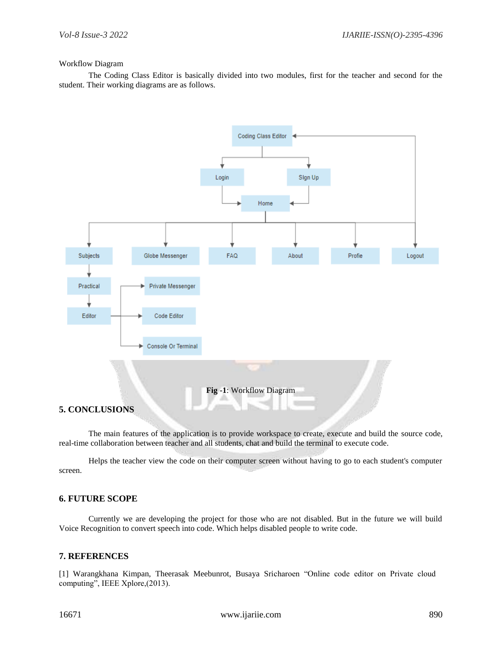#### Workflow Diagram

The Coding Class Editor is basically divided into two modules, first for the teacher and second for the student. Their working diagrams are as follows.



## **5. CONCLUSIONS**

The main features of the application is to provide workspace to create, execute and build the source code, real-time collaboration between teacher and all students, chat and build the terminal to execute code.

Helps the teacher view the code on their computer screen without having to go to each student's computer screen.

## **6. FUTURE SCOPE**

Currently we are developing the project for those who are not disabled. But in the future we will build Voice Recognition to convert speech into code. Which helps disabled people to write code.

## **7. REFERENCES**

[1] Warangkhana Kimpan, Theerasak Meebunrot, Busaya Sricharoen "Online code editor on Private cloud computing", IEEE Xplore,(2013).